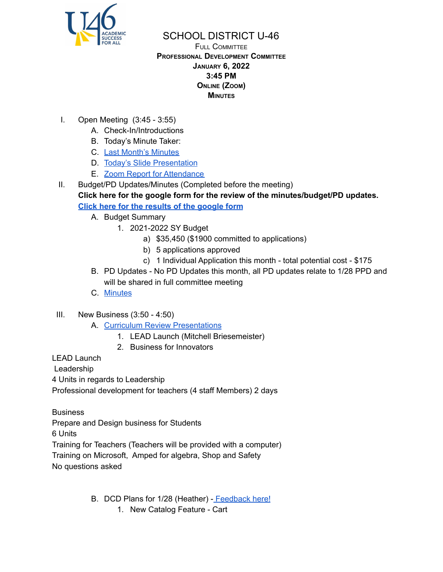

FULL COMMITTEE **PROFESSIONAL DEVELOPMENT COMMITTEE JANUARY 6, 2022 3:45 PM ONLINE (ZOOM) MINUTES**

- I. Open Meeting (3:45 3:55)
	- A. Check-In/Introductions
	- B. Today's Minute Taker:
	- C. Last Month's [Minutes](https://www.u-46.org/site/handlers/filedownload.ashx?moduleinstanceid=40057&dataid=66372&FileName=12-2-21%20Minutes%20PD%20FC.pdf)
	- D. Today's Slide [Presentation](https://docs.google.com/presentation/d/15JM7H2XSz5uSrBGR16ooZEHRj13bX_ylI2zGoFi8Kwo/edit?usp=sharing)
	- E. Zoom Report for [Attendance](https://docs.google.com/spreadsheets/d/1p08IhRJGZ1Ry6DHsKKsIYiX1fup20AvD/edit?usp=sharing&ouid=114155932067581146592&rtpof=true&sd=true)
- II. Budget/PD Updates/Minutes (Completed before the meeting)

**Click here for the google form for the review of the minutes/budget/PD updates. Click here for the [results](https://docs.google.com/forms/d/15IwTInSfxgr-zTszgVXKHq4mgAVqZNjhPJLcBtz5BmM/viewanalytics) of the google form**

- A. Budget Summary
	- 1. 2021-2022 SY Budget
		- a) \$35,450 (\$1900 committed to applications)
		- b) 5 applications approved
		- c) 1 Individual Application this month total potential cost \$175
- B. PD Updates No PD Updates this month, all PD updates relate to 1/28 PPD and will be shared in full committee meeting
- C. [Minutes](https://www.u-46.org/site/handlers/filedownload.ashx?moduleinstanceid=40057&dataid=66372&FileName=12-2-21%20Minutes%20PD%20FC.pdf)
- III. New Business (3:50 4:50)
	- A. Curriculum Review [Presentations](https://docs.google.com/presentation/d/1n87H8gg1YjtZ7aqkPn_a0AfSzyjdqzcNuxMtAw2urRo/edit?usp=sharing)
		- 1. LEAD Launch (Mitchell Briesemeister)
		- 2. Business for Innovators

LEAD Launch

Leadership

4 Units in regards to Leadership

Professional development for teachers (4 staff Members) 2 days

**Business** 

Prepare and Design business for Students

6 Units

Training for Teachers (Teachers will be provided with a computer) Training on Microsoft, Amped for algebra, Shop and Safety No questions asked

B. DCD Plans for 1/28 (Heather) - [Feedback](https://padlet.com/heatherfellows/ob2nx95ubvih9t8e) here!

1. New Catalog Feature - Cart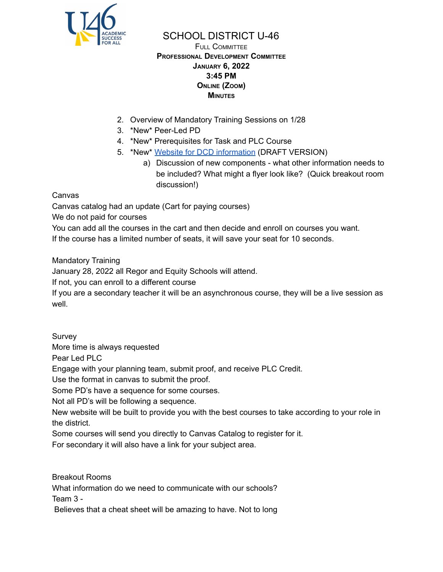

FULL COMMITTEE **PROFESSIONAL DEVELOPMENT COMMITTEE JANUARY 6, 2022 3:45 PM ONLINE (ZOOM) MINUTES**

- 2. Overview of Mandatory Training Sessions on 1/28
- 3. \*New\* Peer-Led PD
- 4. \*New\* Prerequisites for Task and PLC Course
- 5. \*New\* Website for DCD [information](https://sites.google.com/u-46.org/2022128dcdday/home) (DRAFT VERSION)
	- a) Discussion of new components what other information needs to be included? What might a flyer look like? (Quick breakout room discussion!)

Canvas

Canvas catalog had an update (Cart for paying courses)

We do not paid for courses

You can add all the courses in the cart and then decide and enroll on courses you want. If the course has a limited number of seats, it will save your seat for 10 seconds.

Mandatory Training

January 28, 2022 all Regor and Equity Schools will attend.

If not, you can enroll to a different course

If you are a secondary teacher it will be an asynchronous course, they will be a live session as well.

Survey

More time is always requested

Pear Led PLC

Engage with your planning team, submit proof, and receive PLC Credit.

Use the format in canvas to submit the proof.

Some PD's have a sequence for some courses.

Not all PD's will be following a sequence.

New website will be built to provide you with the best courses to take according to your role in the district.

Some courses will send you directly to Canvas Catalog to register for it.

For secondary it will also have a link for your subject area.

Breakout Rooms What information do we need to communicate with our schools? Team 3 - Believes that a cheat sheet will be amazing to have. Not to long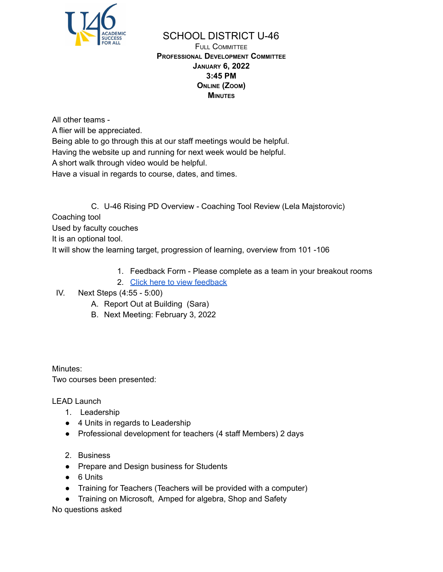

FULL COMMITTEE **PROFESSIONAL DEVELOPMENT COMMITTEE JANUARY 6, 2022 3:45 PM ONLINE (ZOOM) MINUTES**

All other teams -

A flier will be appreciated.

Being able to go through this at our staff meetings would be helpful. Having the website up and running for next week would be helpful.

A short walk through video would be helpful.

Have a visual in regards to course, dates, and times.

C. U-46 Rising PD Overview - Coaching Tool Review (Lela Majstorovic) Coaching tool Used by faculty couches It is an optional tool. It will show the learning target, progression of learning, overview from 101 -106

- 1. Feedback Form Please complete as a team in your breakout rooms
- 2. Click here to view [feedback](https://docs.google.com/forms/d/1pIHdJj_8GLWQmW1phWtPyHKi6f8s6ktjD-qWi6PTo7U/viewanalytics)

## IV. Next Steps (4:55 - 5:00)

- A. Report Out at Building (Sara)
- B. Next Meeting: February 3, 2022

Minutes: Two courses been presented:

LEAD Launch

- 1. Leadership
- 4 Units in regards to Leadership
- Professional development for teachers (4 staff Members) 2 days
- 2. Business
- Prepare and Design business for Students
- 6 Units
- Training for Teachers (Teachers will be provided with a computer)
- Training on Microsoft, Amped for algebra, Shop and Safety

No questions asked